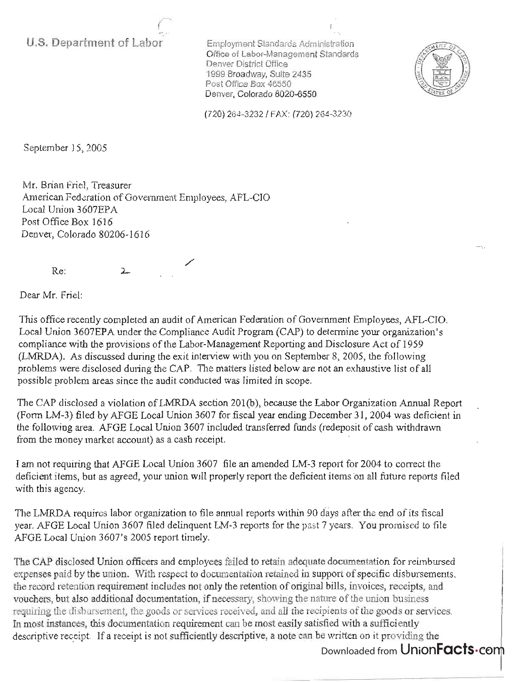**U.S. Department of Labor** 

Employment Standards Adm inistration Office of Labor-Management Standards Denver District Office 1999 Broadway, Suite 2435 Post Office Box 46550 Denver, Colorado 8020-6550



(720 ) 264-32321 FAX: (720) 264-3230

September 15, 2005

Mr. Brian Friel, Treasurer American Federation of Government Employees, AFL-CIO Local Union 3607EPA Post Office Box 1616 Denver, Colorado 80206-1616

Re:

/'

Dear Mr. Friel:

This office recently completed an audit of American Federation of Government Employees, AFL-CIO. Local Union 3607EPA under the Compliance Audit Program (CAP) to determine your organization's compliance with the provisions of the Labor-Management Reporting and Disclosure Act of 1959 (LMRDA). As discussed during the exit interview with you on September 8, 2005, the following problems were disclosed during the CAP. The matters listed below are not an exhaustive list of all possible problem areas since the audit conducted was limited in scope.

The CAP disclosed a violation of LMRDA section 201(b), because the Labor Organization Annual Report (Form LM-3) filed by AFGE Local Union 3607 for fiscal year ending December 31,2004 was deficienf in the following area. AFGE Local Union 3607 included transferred funds (redeposit of cash withdrawn from the money market account) as a cash receipt.

I am not requiring that AFGE Local Union 3607 file an amended LM-3 report for 2004 to correct the deficient items, but as agreed, your union will properly report the deficient items on all future reports filed with this agency.

The LMRDA requires labor organization to file annual reports within 90 days after the end of its fiscal year. AFGE Local Union 3607 filed delinquent LM-3 reports for the past 7 years. You promised to file AFGE Local Union 3607's 2005 report timely.

The CAP disclosed Union officers and employees failed to retain adequate documentation for reimbursed expenses paid by the union. With respect to documentation retained in support of specific disbursements, the record retention requirement includes not only the retention of original bills, invoices, receipts, and vouchers, but also additional documentation, if necessary, showing the nature of the union business requiring the disbursement, the goods or services received, and all the recipients of the goods or services. In most instances, this documentation requirement can be most easily satisfied with a sufficiently descriptive receipt. If a receipt is not sufficiently descriptive, a note can be written on it providing the

Downloaded from UnionFacts.com